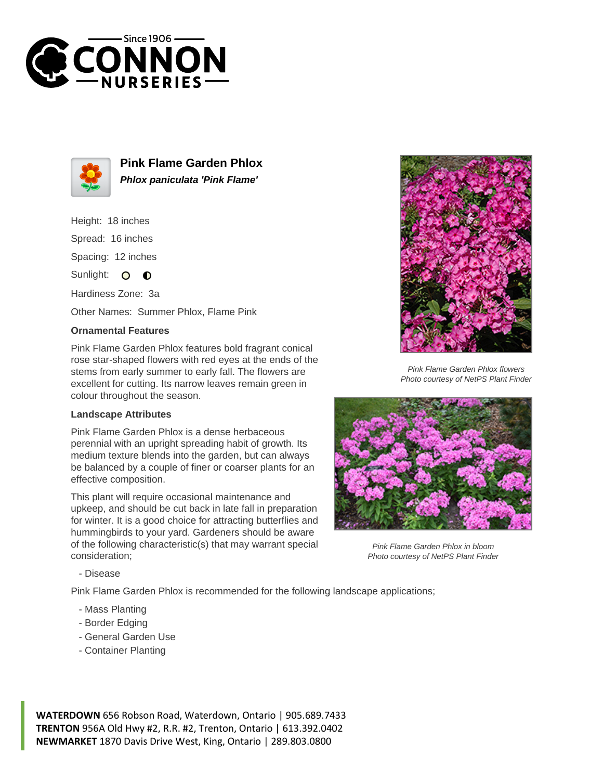



**Pink Flame Garden Phlox Phlox paniculata 'Pink Flame'**

Height: 18 inches Spread: 16 inches Spacing: 12 inches Sunlight: O **O** 

Hardiness Zone: 3a

Other Names: Summer Phlox, Flame Pink

## **Ornamental Features**

Pink Flame Garden Phlox features bold fragrant conical rose star-shaped flowers with red eyes at the ends of the stems from early summer to early fall. The flowers are excellent for cutting. Its narrow leaves remain green in colour throughout the season.

## **Landscape Attributes**

Pink Flame Garden Phlox is a dense herbaceous perennial with an upright spreading habit of growth. Its medium texture blends into the garden, but can always be balanced by a couple of finer or coarser plants for an effective composition.

This plant will require occasional maintenance and upkeep, and should be cut back in late fall in preparation for winter. It is a good choice for attracting butterflies and hummingbirds to your yard. Gardeners should be aware of the following characteristic(s) that may warrant special consideration;



Pink Flame Garden Phlox flowers Photo courtesy of NetPS Plant Finder



Pink Flame Garden Phlox in bloom Photo courtesy of NetPS Plant Finder

- Disease

Pink Flame Garden Phlox is recommended for the following landscape applications;

- Mass Planting
- Border Edging
- General Garden Use
- Container Planting

**WATERDOWN** 656 Robson Road, Waterdown, Ontario | 905.689.7433 **TRENTON** 956A Old Hwy #2, R.R. #2, Trenton, Ontario | 613.392.0402 **NEWMARKET** 1870 Davis Drive West, King, Ontario | 289.803.0800